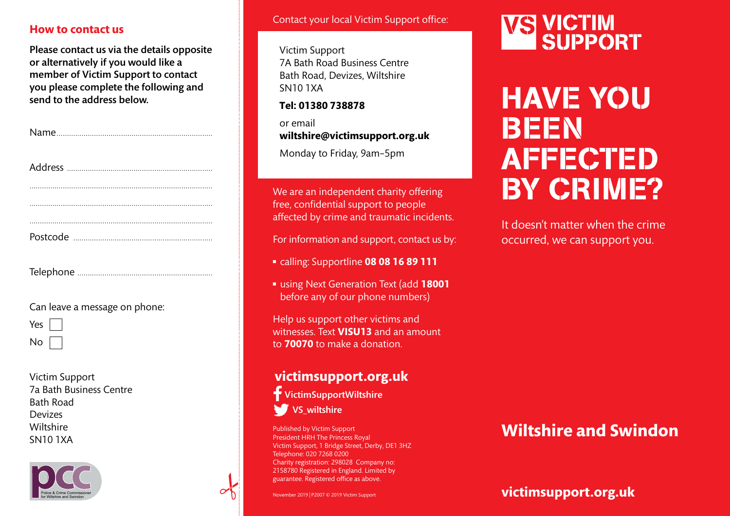### **How to contact us**

Please contact us via the details opposite or alternatively if you would like a member of Victim Support to contact you please complete the following and send to the address below.

Postcode ...................................................................

| Postcode | . |
|----------|---|
|          |   |

Can leave a message on phone:

Yes

No

Victim Support 7a Bath Business Centre Bath Road **Devizes** Wiltshire



#### Contact your local Victim Support office:

Victim Support 7A Bath Road Business Centre Bath Road, Devizes, Wiltshire SN10 1XA

**Tel: 01380 738878**

or email **wiltshire@victimsupport.org.uk**

Monday to Friday, 9am–5pm

We are an independent charity offering free, confidential support to people affected by crime and traumatic incidents.

For information and support, contact us by:

- <sup>n</sup> calling: Supportline **08 08 16 89 111**
- using Next Generation Text (add 18001 before any of our phone numbers)

Help us support other victims and witnesses. Text **VISU13** and an amount to **70070** to make a donation.

## **victimsupport.org.uk**

VictimSupportWiltshire VS\_wiltshire

Published by Victim Support President HRH The Princess Royal Victim Support, 1 Bridge Street, Derby, DE1 3HZ Telephone: 020 7268 0200 Charity registration: 298028 Company no: 2158780 Registered in England. Limited by guarantee. Registered office as above.

# **VS VICTIM<br>SUPPORT**

## HAVE YOU BEEN **AFFECTED** BY CRIME?

It doesn't matter when the crime occurred, we can support you.

## Wiltshire **SN10 1XA CONSERVING STAND SERVING SUPPORT** Prisident HRH The Princess Royal **Wiltshire and Swindon**

**victimsupport.org.uk**